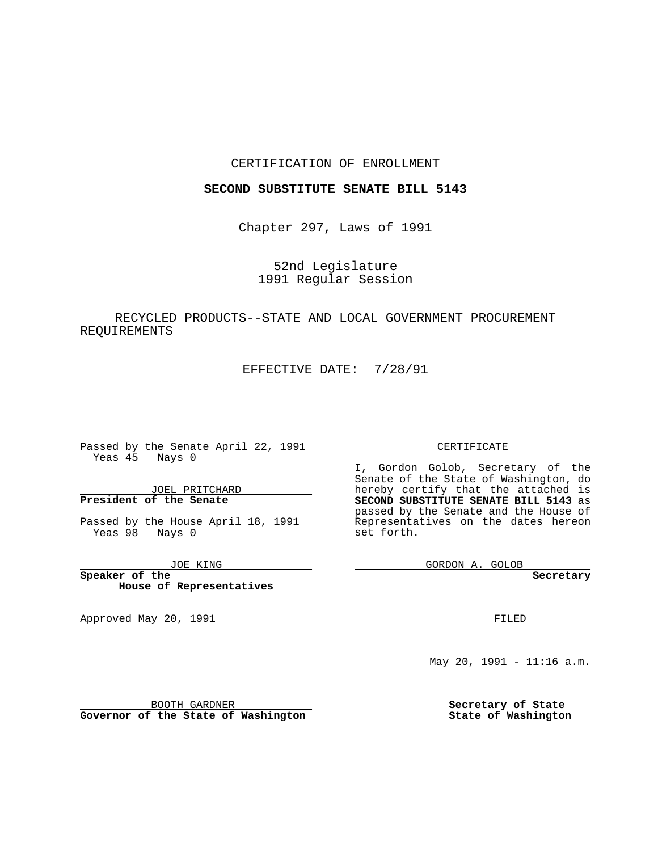### CERTIFICATION OF ENROLLMENT

### **SECOND SUBSTITUTE SENATE BILL 5143**

Chapter 297, Laws of 1991

52nd Legislature 1991 Regular Session

# RECYCLED PRODUCTS--STATE AND LOCAL GOVERNMENT PROCUREMENT REQUIREMENTS

EFFECTIVE DATE: 7/28/91

**Contract Contract** 

Passed by the Senate April 22, 1991 Yeas 45 Nays 0

JOEL PRITCHARD **President of the Senate**

Passed by the House April 18, 1991 Yeas 98 Nays 0

JOE KING

**Speaker of the House of Representatives**

Approved May 20, 1991

#### CERTIFICATE

I, Gordon Golob, Secretary of the Senate of the State of Washington, do hereby certify that the attached is **SECOND SUBSTITUTE SENATE BILL 5143** as passed by the Senate and the House of Representatives on the dates hereon set forth.

GORDON A. GOLOB

**Secretary**

FILED

May 20, 1991 - 11:16 a.m.

**Secretary of State State of Washington**

BOOTH GARDNER

**Governor of the State of Washington**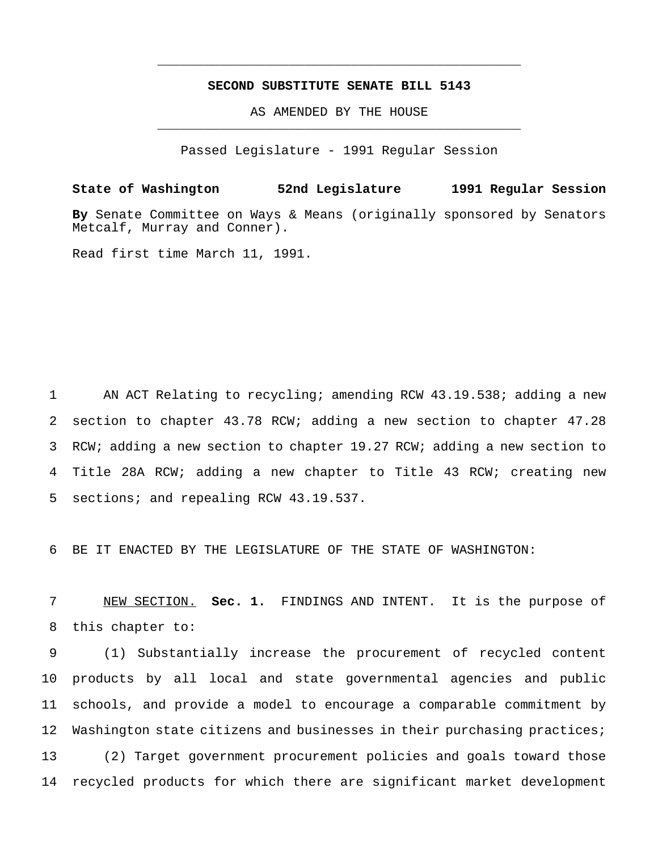## **SECOND SUBSTITUTE SENATE BILL 5143**

\_\_\_\_\_\_\_\_\_\_\_\_\_\_\_\_\_\_\_\_\_\_\_\_\_\_\_\_\_\_\_\_\_\_\_\_\_\_\_\_\_\_\_\_\_\_\_

AS AMENDED BY THE HOUSE \_\_\_\_\_\_\_\_\_\_\_\_\_\_\_\_\_\_\_\_\_\_\_\_\_\_\_\_\_\_\_\_\_\_\_\_\_\_\_\_\_\_\_\_\_\_\_

Passed Legislature - 1991 Regular Session

**State of Washington 52nd Legislature 1991 Regular Session By** Senate Committee on Ways & Means (originally sponsored by Senators Metcalf, Murray and Conner). Read first time March 11, 1991.

 AN ACT Relating to recycling; amending RCW 43.19.538; adding a new section to chapter 43.78 RCW; adding a new section to chapter 47.28 RCW; adding a new section to chapter 19.27 RCW; adding a new section to Title 28A RCW; adding a new chapter to Title 43 RCW; creating new sections; and repealing RCW 43.19.537.

6 BE IT ENACTED BY THE LEGISLATURE OF THE STATE OF WASHINGTON:

7 NEW SECTION. **Sec. 1.** FINDINGS AND INTENT. It is the purpose of 8 this chapter to:

 (1) Substantially increase the procurement of recycled content products by all local and state governmental agencies and public schools, and provide a model to encourage a comparable commitment by 12 Washington state citizens and businesses in their purchasing practices; (2) Target government procurement policies and goals toward those recycled products for which there are significant market development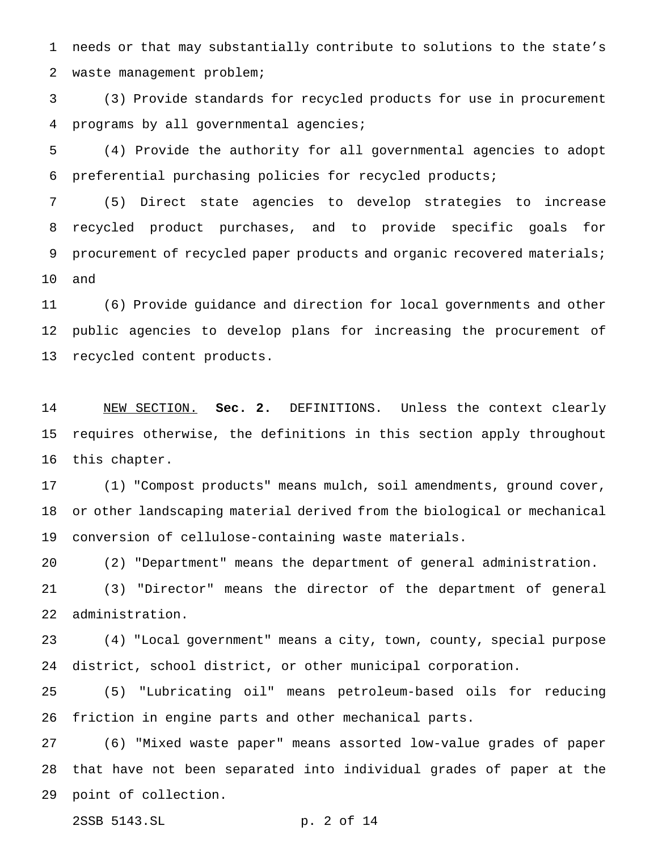needs or that may substantially contribute to solutions to the state's waste management problem;

 (3) Provide standards for recycled products for use in procurement programs by all governmental agencies;

 (4) Provide the authority for all governmental agencies to adopt preferential purchasing policies for recycled products;

 (5) Direct state agencies to develop strategies to increase recycled product purchases, and to provide specific goals for 9 procurement of recycled paper products and organic recovered materials; and

 (6) Provide guidance and direction for local governments and other public agencies to develop plans for increasing the procurement of recycled content products.

 NEW SECTION. **Sec. 2.** DEFINITIONS. Unless the context clearly requires otherwise, the definitions in this section apply throughout this chapter.

 (1) "Compost products" means mulch, soil amendments, ground cover, or other landscaping material derived from the biological or mechanical conversion of cellulose-containing waste materials.

(2) "Department" means the department of general administration.

 (3) "Director" means the director of the department of general administration.

 (4) "Local government" means a city, town, county, special purpose district, school district, or other municipal corporation.

 (5) "Lubricating oil" means petroleum-based oils for reducing friction in engine parts and other mechanical parts.

 (6) "Mixed waste paper" means assorted low-value grades of paper that have not been separated into individual grades of paper at the point of collection.

2SSB 5143.SL p. 2 of 14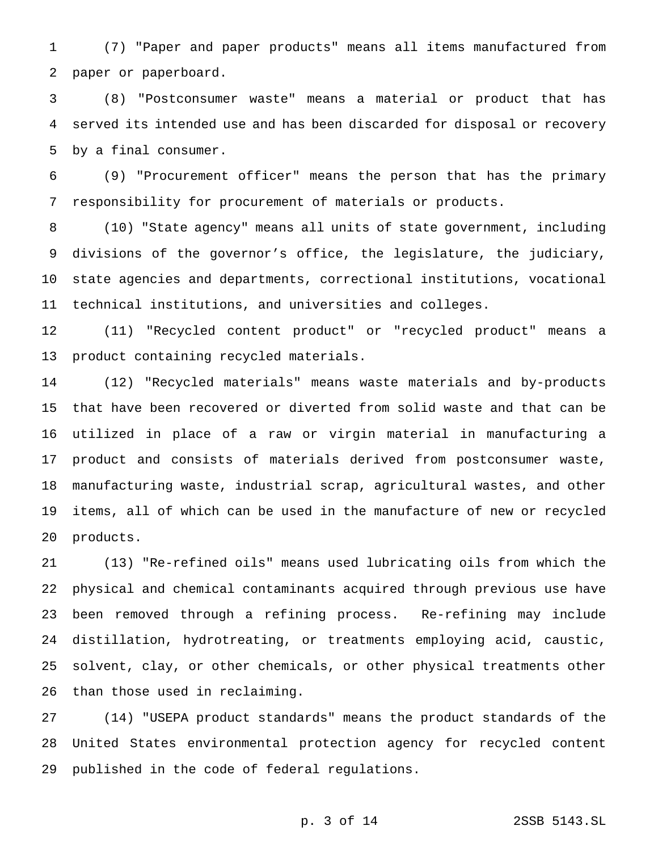(7) "Paper and paper products" means all items manufactured from paper or paperboard.

 (8) "Postconsumer waste" means a material or product that has served its intended use and has been discarded for disposal or recovery by a final consumer.

 (9) "Procurement officer" means the person that has the primary responsibility for procurement of materials or products.

 (10) "State agency" means all units of state government, including divisions of the governor's office, the legislature, the judiciary, state agencies and departments, correctional institutions, vocational technical institutions, and universities and colleges.

 (11) "Recycled content product" or "recycled product" means a product containing recycled materials.

 (12) "Recycled materials" means waste materials and by-products that have been recovered or diverted from solid waste and that can be utilized in place of a raw or virgin material in manufacturing a product and consists of materials derived from postconsumer waste, manufacturing waste, industrial scrap, agricultural wastes, and other items, all of which can be used in the manufacture of new or recycled products.

 (13) "Re-refined oils" means used lubricating oils from which the physical and chemical contaminants acquired through previous use have been removed through a refining process. Re-refining may include distillation, hydrotreating, or treatments employing acid, caustic, solvent, clay, or other chemicals, or other physical treatments other than those used in reclaiming.

 (14) "USEPA product standards" means the product standards of the United States environmental protection agency for recycled content published in the code of federal regulations.

p. 3 of 14 2SSB 5143.SL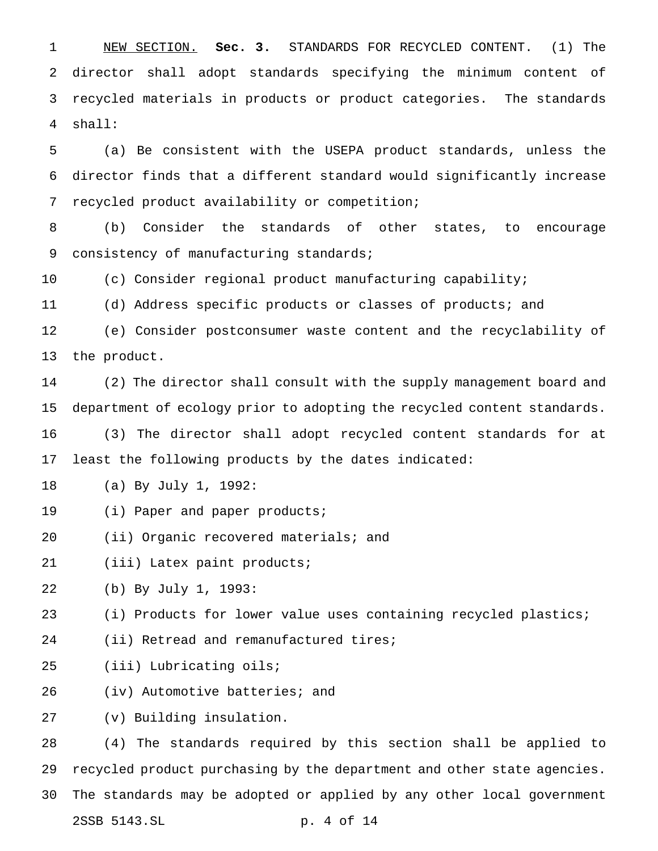NEW SECTION. **Sec. 3.** STANDARDS FOR RECYCLED CONTENT. (1) The director shall adopt standards specifying the minimum content of recycled materials in products or product categories. The standards shall:

 (a) Be consistent with the USEPA product standards, unless the director finds that a different standard would significantly increase recycled product availability or competition;

 (b) Consider the standards of other states, to encourage 9 consistency of manufacturing standards;

(c) Consider regional product manufacturing capability;

(d) Address specific products or classes of products; and

 (e) Consider postconsumer waste content and the recyclability of the product.

 (2) The director shall consult with the supply management board and department of ecology prior to adopting the recycled content standards.

 (3) The director shall adopt recycled content standards for at least the following products by the dates indicated:

- (a) By July 1, 1992:
- (i) Paper and paper products;
- (ii) Organic recovered materials; and

(iii) Latex paint products;

(b) By July 1, 1993:

(i) Products for lower value uses containing recycled plastics;

24 (ii) Retread and remanufactured tires;

(iii) Lubricating oils;

(iv) Automotive batteries; and

(v) Building insulation.

 (4) The standards required by this section shall be applied to recycled product purchasing by the department and other state agencies. The standards may be adopted or applied by any other local government 2SSB 5143.SL p. 4 of 14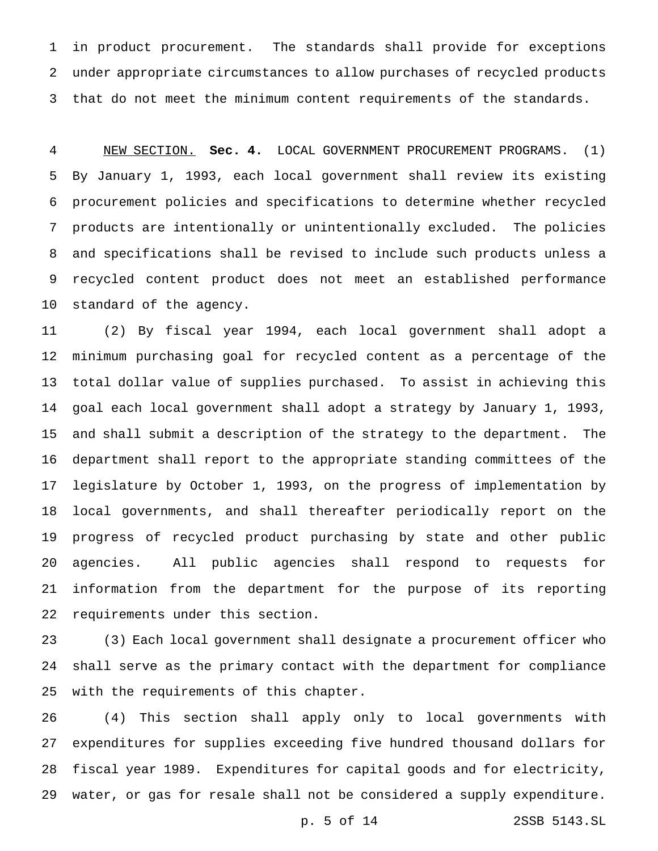in product procurement. The standards shall provide for exceptions under appropriate circumstances to allow purchases of recycled products that do not meet the minimum content requirements of the standards.

 NEW SECTION. **Sec. 4.** LOCAL GOVERNMENT PROCUREMENT PROGRAMS. (1) By January 1, 1993, each local government shall review its existing procurement policies and specifications to determine whether recycled products are intentionally or unintentionally excluded. The policies and specifications shall be revised to include such products unless a recycled content product does not meet an established performance standard of the agency.

 (2) By fiscal year 1994, each local government shall adopt a minimum purchasing goal for recycled content as a percentage of the total dollar value of supplies purchased. To assist in achieving this goal each local government shall adopt a strategy by January 1, 1993, and shall submit a description of the strategy to the department. The department shall report to the appropriate standing committees of the legislature by October 1, 1993, on the progress of implementation by local governments, and shall thereafter periodically report on the progress of recycled product purchasing by state and other public agencies. All public agencies shall respond to requests for information from the department for the purpose of its reporting requirements under this section.

 (3) Each local government shall designate a procurement officer who shall serve as the primary contact with the department for compliance with the requirements of this chapter.

 (4) This section shall apply only to local governments with expenditures for supplies exceeding five hundred thousand dollars for fiscal year 1989. Expenditures for capital goods and for electricity, water, or gas for resale shall not be considered a supply expenditure.

p. 5 of 14 2SSB 5143.SL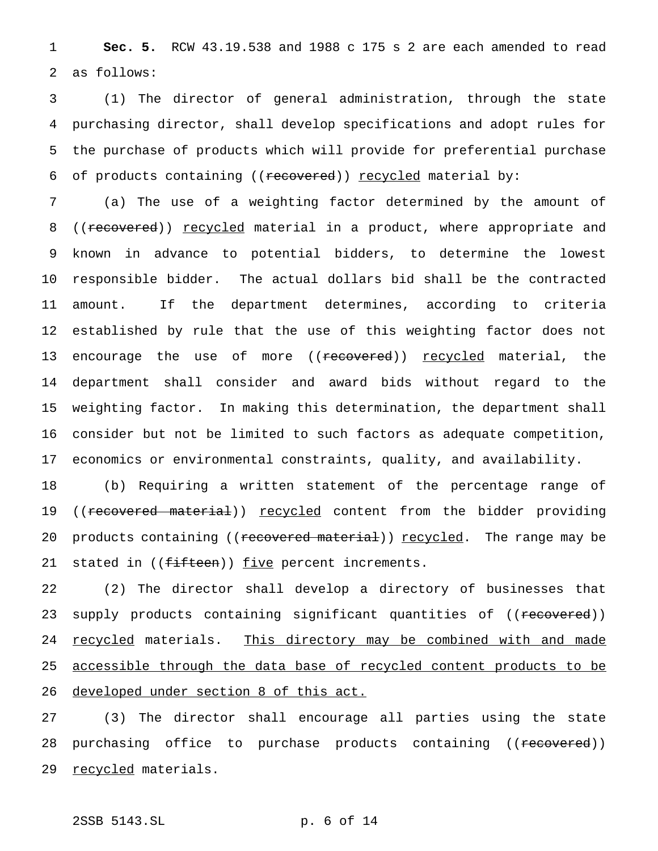1 **Sec. 5.** RCW 43.19.538 and 1988 c 175 s 2 are each amended to read 2 as follows:

 (1) The director of general administration, through the state purchasing director, shall develop specifications and adopt rules for the purchase of products which will provide for preferential purchase 6 of products containing ((recovered)) recycled material by:

 (a) The use of a weighting factor determined by the amount of 8 ((recovered)) recycled material in a product, where appropriate and known in advance to potential bidders, to determine the lowest responsible bidder. The actual dollars bid shall be the contracted amount. If the department determines, according to criteria established by rule that the use of this weighting factor does not 13 encourage the use of more ((<del>recovered</del>)) <u>recycled</u> material, the department shall consider and award bids without regard to the weighting factor. In making this determination, the department shall consider but not be limited to such factors as adequate competition, economics or environmental constraints, quality, and availability.

18 (b) Requiring a written statement of the percentage range of 19 ((recovered material)) recycled content from the bidder providing 20 products containing ((recovered material)) recycled. The range may be 21 stated in ((fifteen)) five percent increments.

22 (2) The director shall develop a directory of businesses that 23 supply products containing significant quantities of ((recovered)) 24 recycled materials. This directory may be combined with and made 25 accessible through the data base of recycled content products to be 26 developed under section 8 of this act.

27 (3) The director shall encourage all parties using the state 28 purchasing office to purchase products containing ((recovered)) 29 recycled materials.

# 2SSB 5143.SL p. 6 of 14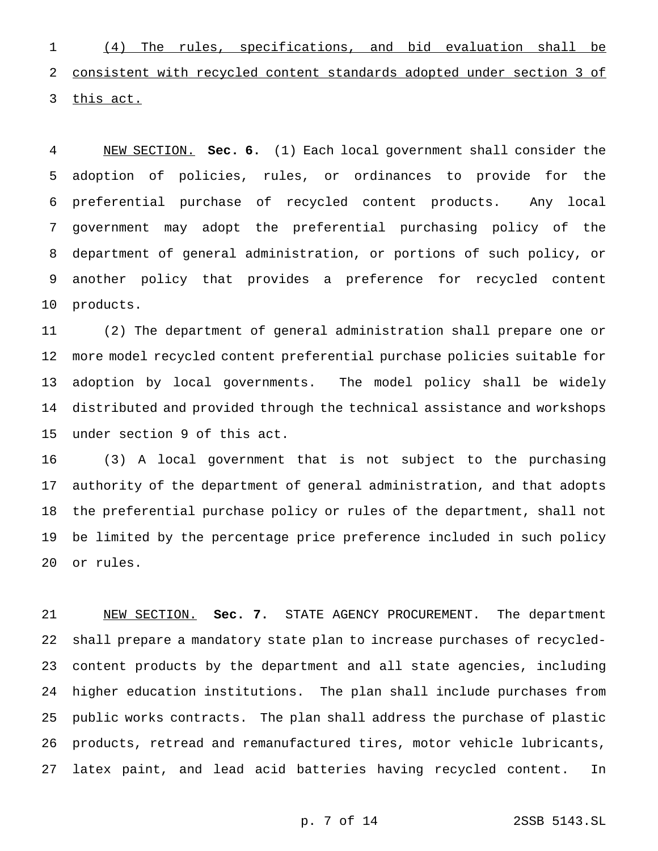(4) The rules, specifications, and bid evaluation shall be consistent with recycled content standards adopted under section 3 of 3 this act.

 NEW SECTION. **Sec. 6.** (1) Each local government shall consider the adoption of policies, rules, or ordinances to provide for the preferential purchase of recycled content products. Any local government may adopt the preferential purchasing policy of the department of general administration, or portions of such policy, or another policy that provides a preference for recycled content products.

 (2) The department of general administration shall prepare one or more model recycled content preferential purchase policies suitable for adoption by local governments. The model policy shall be widely distributed and provided through the technical assistance and workshops under section 9 of this act.

 (3) A local government that is not subject to the purchasing authority of the department of general administration, and that adopts the preferential purchase policy or rules of the department, shall not be limited by the percentage price preference included in such policy or rules.

 NEW SECTION. **Sec. 7.** STATE AGENCY PROCUREMENT. The department shall prepare a mandatory state plan to increase purchases of recycled- content products by the department and all state agencies, including higher education institutions. The plan shall include purchases from public works contracts. The plan shall address the purchase of plastic products, retread and remanufactured tires, motor vehicle lubricants, latex paint, and lead acid batteries having recycled content. In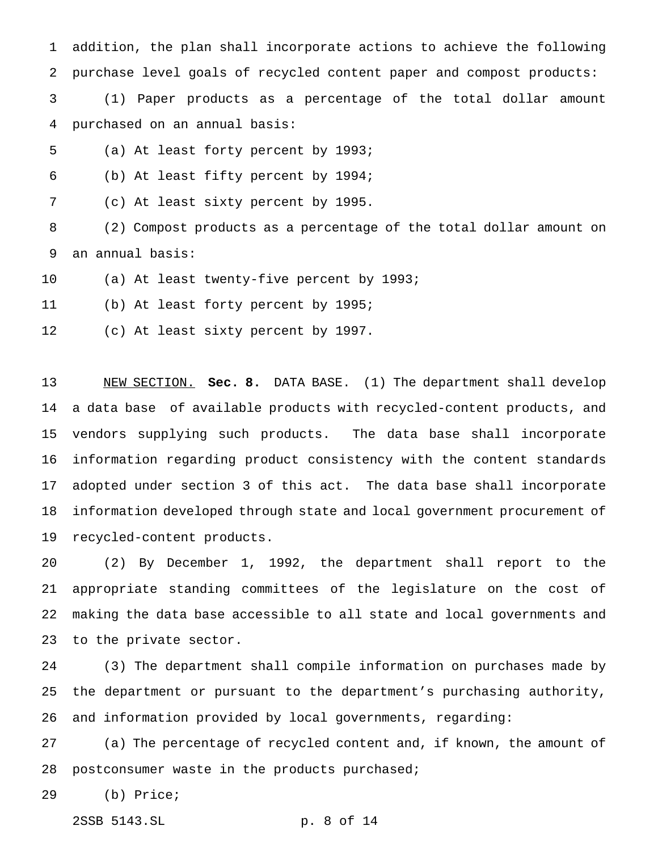addition, the plan shall incorporate actions to achieve the following purchase level goals of recycled content paper and compost products: (1) Paper products as a percentage of the total dollar amount purchased on an annual basis:

- (a) At least forty percent by 1993;
- (b) At least fifty percent by 1994;

(c) At least sixty percent by 1995.

 (2) Compost products as a percentage of the total dollar amount on an annual basis:

(a) At least twenty-five percent by 1993;

(b) At least forty percent by 1995;

(c) At least sixty percent by 1997.

 NEW SECTION. **Sec. 8.** DATA BASE. (1) The department shall develop a data base of available products with recycled-content products, and vendors supplying such products. The data base shall incorporate information regarding product consistency with the content standards adopted under section 3 of this act. The data base shall incorporate information developed through state and local government procurement of recycled-content products.

 (2) By December 1, 1992, the department shall report to the appropriate standing committees of the legislature on the cost of making the data base accessible to all state and local governments and to the private sector.

 (3) The department shall compile information on purchases made by the department or pursuant to the department's purchasing authority, and information provided by local governments, regarding:

 (a) The percentage of recycled content and, if known, the amount of 28 postconsumer waste in the products purchased;

(b) Price;

2SSB 5143.SL p. 8 of 14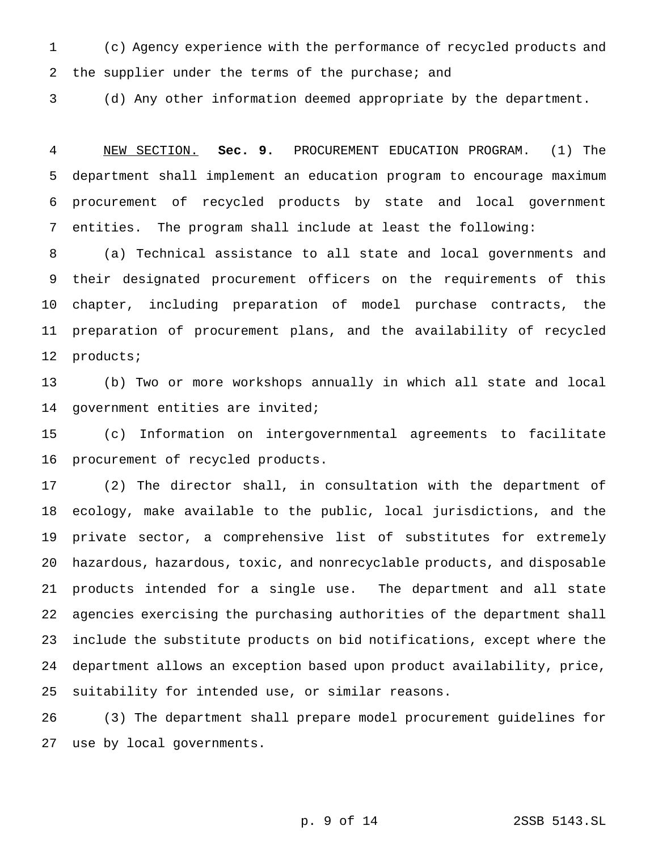(c) Agency experience with the performance of recycled products and 2 the supplier under the terms of the purchase; and

(d) Any other information deemed appropriate by the department.

 NEW SECTION. **Sec. 9.** PROCUREMENT EDUCATION PROGRAM. (1) The department shall implement an education program to encourage maximum procurement of recycled products by state and local government entities. The program shall include at least the following:

 (a) Technical assistance to all state and local governments and their designated procurement officers on the requirements of this chapter, including preparation of model purchase contracts, the preparation of procurement plans, and the availability of recycled products;

 (b) Two or more workshops annually in which all state and local 14 government entities are invited;

 (c) Information on intergovernmental agreements to facilitate procurement of recycled products.

 (2) The director shall, in consultation with the department of ecology, make available to the public, local jurisdictions, and the private sector, a comprehensive list of substitutes for extremely hazardous, hazardous, toxic, and nonrecyclable products, and disposable products intended for a single use. The department and all state agencies exercising the purchasing authorities of the department shall include the substitute products on bid notifications, except where the department allows an exception based upon product availability, price, suitability for intended use, or similar reasons.

 (3) The department shall prepare model procurement guidelines for use by local governments.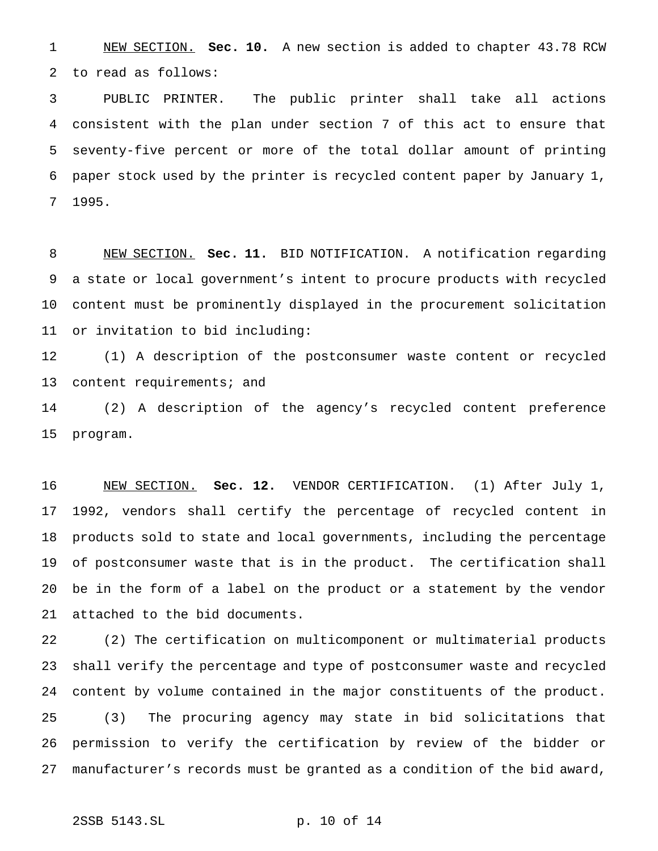NEW SECTION. **Sec. 10.** A new section is added to chapter 43.78 RCW to read as follows:

 PUBLIC PRINTER. The public printer shall take all actions consistent with the plan under section 7 of this act to ensure that seventy-five percent or more of the total dollar amount of printing paper stock used by the printer is recycled content paper by January 1, 1995.

 NEW SECTION. **Sec. 11.** BID NOTIFICATION. A notification regarding a state or local government's intent to procure products with recycled content must be prominently displayed in the procurement solicitation or invitation to bid including:

 (1) A description of the postconsumer waste content or recycled 13 content requirements; and

 (2) A description of the agency's recycled content preference program.

 NEW SECTION. **Sec. 12.** VENDOR CERTIFICATION. (1) After July 1, 1992, vendors shall certify the percentage of recycled content in products sold to state and local governments, including the percentage of postconsumer waste that is in the product. The certification shall be in the form of a label on the product or a statement by the vendor attached to the bid documents.

 (2) The certification on multicomponent or multimaterial products shall verify the percentage and type of postconsumer waste and recycled content by volume contained in the major constituents of the product. (3) The procuring agency may state in bid solicitations that permission to verify the certification by review of the bidder or manufacturer's records must be granted as a condition of the bid award,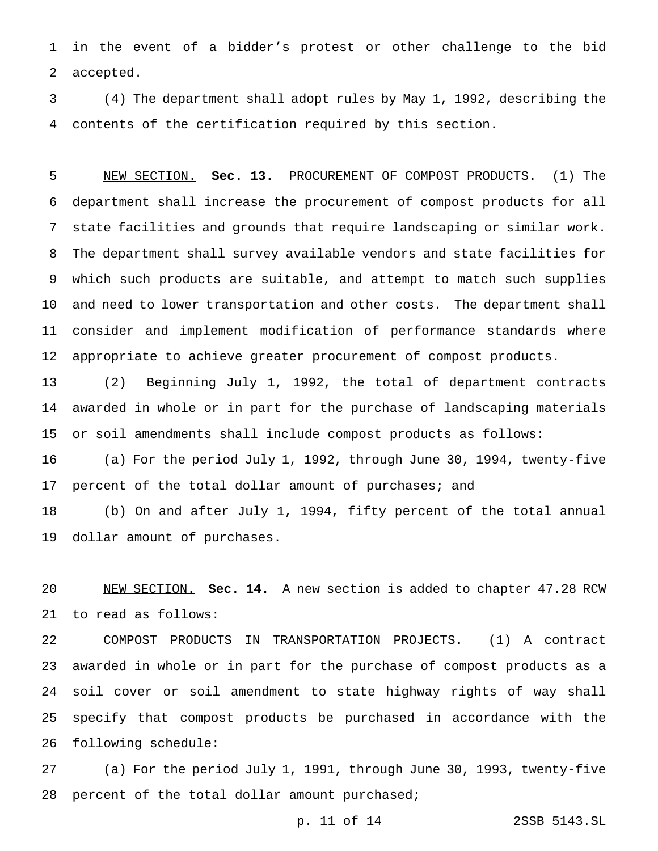in the event of a bidder's protest or other challenge to the bid accepted.

 (4) The department shall adopt rules by May 1, 1992, describing the contents of the certification required by this section.

 NEW SECTION. **Sec. 13.** PROCUREMENT OF COMPOST PRODUCTS. (1) The department shall increase the procurement of compost products for all state facilities and grounds that require landscaping or similar work. The department shall survey available vendors and state facilities for which such products are suitable, and attempt to match such supplies and need to lower transportation and other costs. The department shall consider and implement modification of performance standards where appropriate to achieve greater procurement of compost products.

 (2) Beginning July 1, 1992, the total of department contracts awarded in whole or in part for the purchase of landscaping materials or soil amendments shall include compost products as follows:

 (a) For the period July 1, 1992, through June 30, 1994, twenty-five percent of the total dollar amount of purchases; and

 (b) On and after July 1, 1994, fifty percent of the total annual dollar amount of purchases.

 NEW SECTION. **Sec. 14.** A new section is added to chapter 47.28 RCW to read as follows:

 COMPOST PRODUCTS IN TRANSPORTATION PROJECTS. (1) A contract awarded in whole or in part for the purchase of compost products as a soil cover or soil amendment to state highway rights of way shall specify that compost products be purchased in accordance with the following schedule:

 (a) For the period July 1, 1991, through June 30, 1993, twenty-five percent of the total dollar amount purchased;

p. 11 of 14 2SSB 5143.SL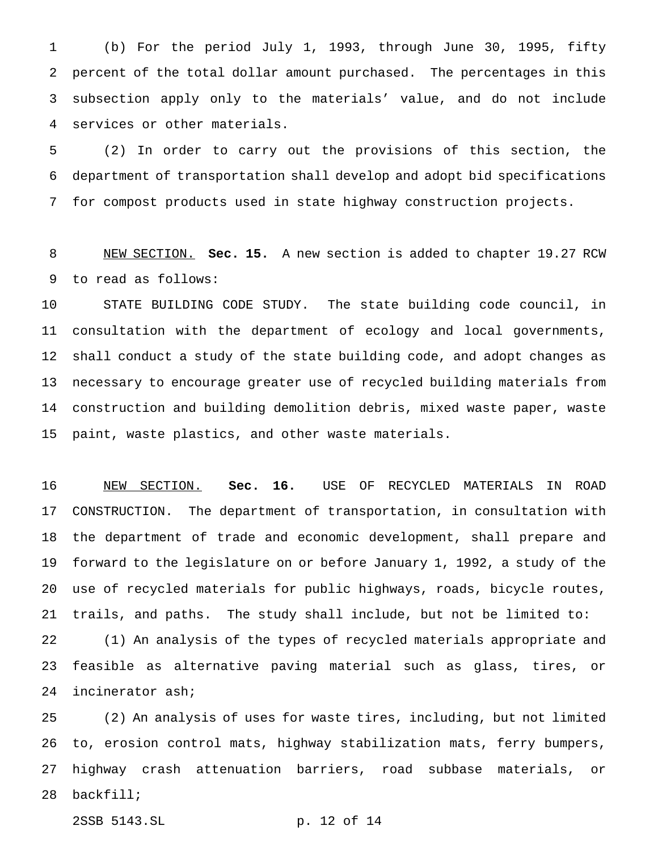(b) For the period July 1, 1993, through June 30, 1995, fifty percent of the total dollar amount purchased. The percentages in this subsection apply only to the materials' value, and do not include services or other materials.

 (2) In order to carry out the provisions of this section, the department of transportation shall develop and adopt bid specifications for compost products used in state highway construction projects.

 NEW SECTION. **Sec. 15.** A new section is added to chapter 19.27 RCW to read as follows:

 STATE BUILDING CODE STUDY. The state building code council, in consultation with the department of ecology and local governments, shall conduct a study of the state building code, and adopt changes as necessary to encourage greater use of recycled building materials from construction and building demolition debris, mixed waste paper, waste paint, waste plastics, and other waste materials.

 NEW SECTION. **Sec. 16.** USE OF RECYCLED MATERIALS IN ROAD CONSTRUCTION. The department of transportation, in consultation with the department of trade and economic development, shall prepare and forward to the legislature on or before January 1, 1992, a study of the use of recycled materials for public highways, roads, bicycle routes, trails, and paths. The study shall include, but not be limited to:

 (1) An analysis of the types of recycled materials appropriate and feasible as alternative paving material such as glass, tires, or incinerator ash;

 (2) An analysis of uses for waste tires, including, but not limited to, erosion control mats, highway stabilization mats, ferry bumpers, highway crash attenuation barriers, road subbase materials, or backfill;

2SSB 5143.SL p. 12 of 14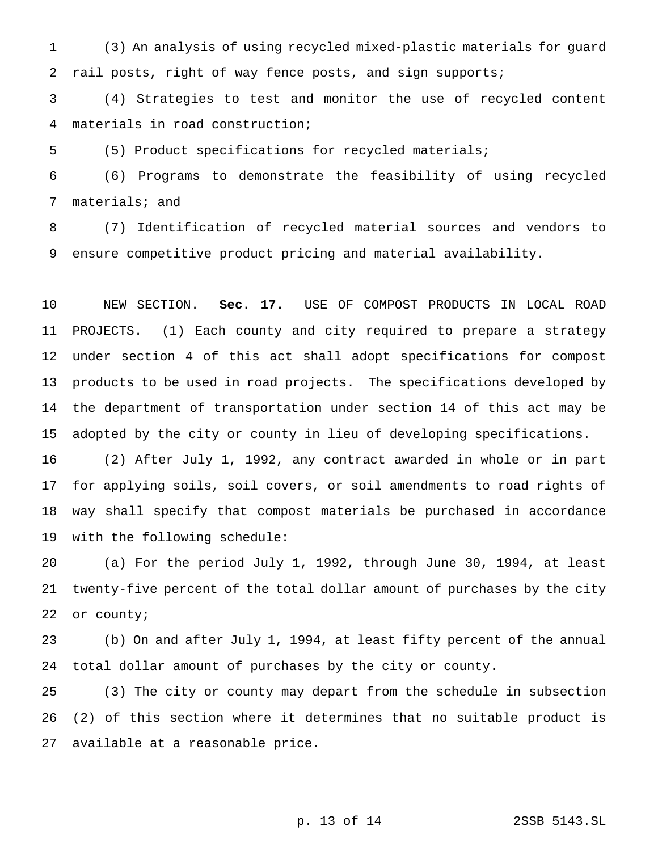(3) An analysis of using recycled mixed-plastic materials for guard rail posts, right of way fence posts, and sign supports;

 (4) Strategies to test and monitor the use of recycled content materials in road construction;

(5) Product specifications for recycled materials;

 (6) Programs to demonstrate the feasibility of using recycled materials; and

 (7) Identification of recycled material sources and vendors to ensure competitive product pricing and material availability.

 NEW SECTION. **Sec. 17.** USE OF COMPOST PRODUCTS IN LOCAL ROAD PROJECTS. (1) Each county and city required to prepare a strategy under section 4 of this act shall adopt specifications for compost products to be used in road projects. The specifications developed by the department of transportation under section 14 of this act may be adopted by the city or county in lieu of developing specifications.

 (2) After July 1, 1992, any contract awarded in whole or in part for applying soils, soil covers, or soil amendments to road rights of way shall specify that compost materials be purchased in accordance with the following schedule:

 (a) For the period July 1, 1992, through June 30, 1994, at least twenty-five percent of the total dollar amount of purchases by the city 22 or county;

 (b) On and after July 1, 1994, at least fifty percent of the annual total dollar amount of purchases by the city or county.

 (3) The city or county may depart from the schedule in subsection (2) of this section where it determines that no suitable product is available at a reasonable price.